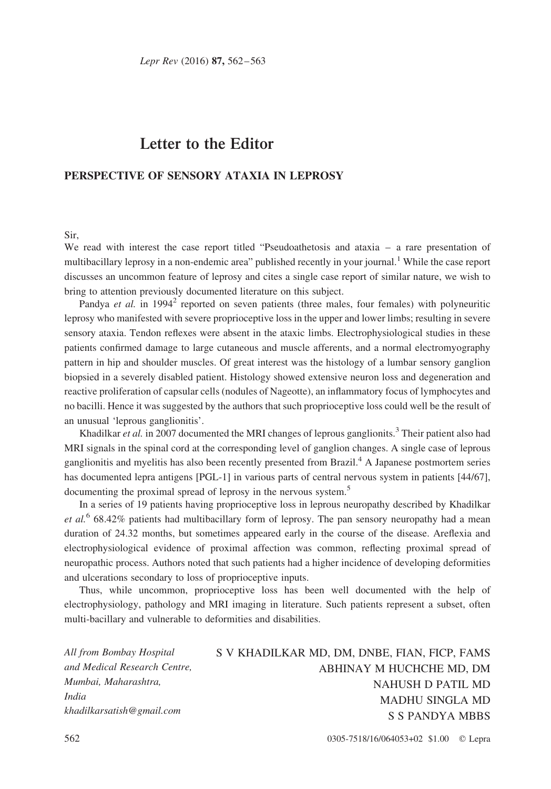Lepr Rev (2016) 87, 562–563

## Letter to the Editor

## PERSPECTIVE OF SENSORY ATAXIA IN LEPROSY

## Sir,

We read with interest the case report titled "Pseudoathetosis and ataxia – a rare presentation of multibacillary leprosy in a non-endemic area" published recently in your journal.<sup>[1](#page-1-0)</sup> While the case report discusses an uncommon feature of leprosy and cites a single case report of similar nature, we wish to bring to attention previously documented literature on this subject.

Pandya *et al.* in 1994<sup>2</sup> reported on seven patients (three males, four females) with polyneuritic leprosy who manifested with severe proprioceptive loss in the upper and lower limbs; resulting in severe sensory ataxia. Tendon reflexes were absent in the ataxic limbs. Electrophysiological studies in these patients confirmed damage to large cutaneous and muscle afferents, and a normal electromyography pattern in hip and shoulder muscles. Of great interest was the histology of a lumbar sensory ganglion biopsied in a severely disabled patient. Histology showed extensive neuron loss and degeneration and reactive proliferation of capsular cells (nodules of Nageotte), an inflammatory focus of lymphocytes and no bacilli. Hence it was suggested by the authors that such proprioceptive loss could well be the result of an unusual 'leprous ganglionitis'.

Khadilkar *et al.* in 2007 documented the MRI changes of leprous ganglionits.<sup>[3](#page-1-0)</sup> Their patient also had MRI signals in the spinal cord at the corresponding level of ganglion changes. A single case of leprous ganglionitis and myelitis has also been recently presented from Brazil.[4](#page-1-0) A Japanese postmortem series has documented lepra antigens [PGL-1] in various parts of central nervous system in patients [44/67], documenting the proximal spread of leprosy in the nervous system.<sup>[5](#page-1-0)</sup>

In a series of 19 patients having proprioceptive loss in leprous neuropathy described by Khadilkar et al.<sup>[6](#page-1-0)</sup> 68.42% patients had multibacillary form of leprosy. The pan sensory neuropathy had a mean duration of 24.32 months, but sometimes appeared early in the course of the disease. Areflexia and electrophysiological evidence of proximal affection was common, reflecting proximal spread of neuropathic process. Authors noted that such patients had a higher incidence of developing deformities and ulcerations secondary to loss of proprioceptive inputs.

Thus, while uncommon, proprioceptive loss has been well documented with the help of electrophysiology, pathology and MRI imaging in literature. Such patients represent a subset, often multi-bacillary and vulnerable to deformities and disabilities.

All from Bombay Hospital and Medical Research Centre, Mumbai, Maharashtra, India khadilkarsatish@gmail.com

S V KHADILKAR MD, DM, DNBE, FIAN, FICP, FAMS ABHINAY M HUCHCHE MD, DM NAHUSH D PATIL MD MADHU SINGLA MD S S PANDYA MBBS